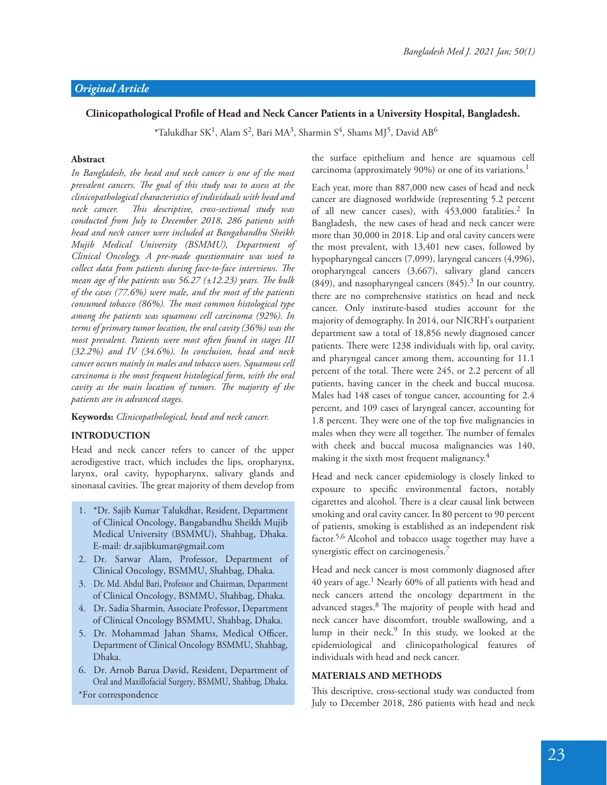# Clinicopathological Profile of Head and Neck Cancer Patients in a University Hospital, Bangladesh.

 $^*$ Talukdhar SK $^1$ , Alam S $^2$ , Bari MA $^3$ , Sharmin S $^4$ , Shams MJ $^5$ , David AB $^6$ 

# **Abstract**

*In Bangladesh, the head and neck cancer is one of the most*  prevalent cancers. The goal of this study was to assess at the *clinicopathological characteristics of individuals with head and neck cancer. !is descriptive, cross-sectional study was conducted from July to December 2018, 286 patients with head and neck cancer were included at Bangabandhu Sheikh Mujib Medical University (BSMMU), Department of Clinical Oncology. A pre-made questionnaire was used to collect data from patients during face-to-face interviews. The mean age of the patients was*  $56.27$  ( $\pm$ 12.23) years. The bulk *of the cases (77.6%) were male, and the most of the patients*  consumed tobacco (86%). The most common histological type *among the patients was squamous cell carcinoma (92%). In terms of primary tumor location, the oral cavity (36%) was the most prevalent. Patients were most often found in stages III (32.2%) and IV (34.6%). In conclusion, head and neck cancer occurs mainly in males and tobacco users. Squamous cell carcinoma is the most frequent histological form, with the oral*  cavity as the main location of tumors. The majority of the *patients are in advanced stages.*

### **Keywords:** *Clinicopathological, head and neck cancer.*

# **INTRODUCTION**

Head and neck cancer refers to cancer of the upper aerodigestive tract, which includes the lips, oropharynx, larynx, oral cavity, hypopharynx, salivary glands and sinonasal cavities. The great majority of them develop from

- 1. \*Dr. Sajib Kumar Talukdhar, Resident, Department of Clinical Oncology, Bangabandhu Sheikh Mujib Medical University (BSMMU), Shahbag, Dhaka. E-mail: dr.sajibkumar@gmail.com
- 2. Dr. Sarwar Alam, Professor, Department of Clinical Oncology, BSMMU, Shahbag, Dhaka.
- 3. Dr. Md. Abdul Bari, Professor and Chairman, Department of Clinical Oncology, BSMMU, Shahbag, Dhaka.
- 4. Dr. Sadia Sharmin, Associate Professor, Department of Clinical Oncology BSMMU, Shahbag, Dhaka.
- 5. Dr. Mohammad Jahan Shams, Medical Officer, Department of Clinical Oncology BSMMU, Shahbag, Dhaka.
- 6. Dr. Arnob Barua David, Resident, Department of Oral and Maxillofacial Surgery, BSMMU, Shahbag, Dhaka. \*For correspondence

the surface epithelium and hence are squamous cell carcinoma (approximately 90%) or one of its variations.<sup>1</sup>

Each year, more than 887,000 new cases of head and neck cancer are diagnosed worldwide (representing 5.2 percent of all new cancer cases), with 453,000 fatalities.<sup>2</sup> In Bangladesh, the new cases of head and neck cancer were more than 30,000 in 2018. Lip and oral cavity cancers were the most prevalent, with 13,401 new cases, followed by hypopharyngeal cancers (7,099), laryngeal cancers (4,996), oropharyngeal cancers (3,667), salivary gland cancers  $(849)$ , and nasopharyngeal cancers  $(845).<sup>3</sup>$  In our country, there are no comprehensive statistics on head and neck cancer. Only institute-based studies account for the majority of demography. In 2014, our NICRH's outpatient department saw a total of 18,856 newly diagnosed cancer patients. There were 1238 individuals with lip, oral cavity, and pharyngeal cancer among them, accounting for 11.1 percent of the total. There were 245, or 2.2 percent of all patients, having cancer in the cheek and buccal mucosa. Males had 148 cases of tongue cancer, accounting for 2.4 percent, and 109 cases of laryngeal cancer, accounting for 1.8 percent. They were one of the top five malignancies in males when they were all together. The number of females with cheek and buccal mucosa malignancies was 140, making it the sixth most frequent malignancy.<sup>4</sup>

Head and neck cancer epidemiology is closely linked to exposure to specific environmental factors, notably cigarettes and alcohol. There is a clear causal link between smoking and oral cavity cancer. In 80 percent to 90 percent of patients, smoking is established as an independent risk factor.<sup>5,6</sup> Alcohol and tobacco usage together may have a synergistic effect on carcinogenesis.<sup>7</sup>

Head and neck cancer is most commonly diagnosed after 40 years of age.<sup>1</sup> Nearly 60% of all patients with head and neck cancers attend the oncology department in the advanced stages.<sup>8</sup> The majority of people with head and neck cancer have discomfort, trouble swallowing, and a lump in their neck.<sup>9</sup> In this study, we looked at the epidemiological and clinicopathological features of individuals with head and neck cancer.

# **MATERIALS AND METHODS**

This descriptive, cross-sectional study was conducted from July to December 2018, 286 patients with head and neck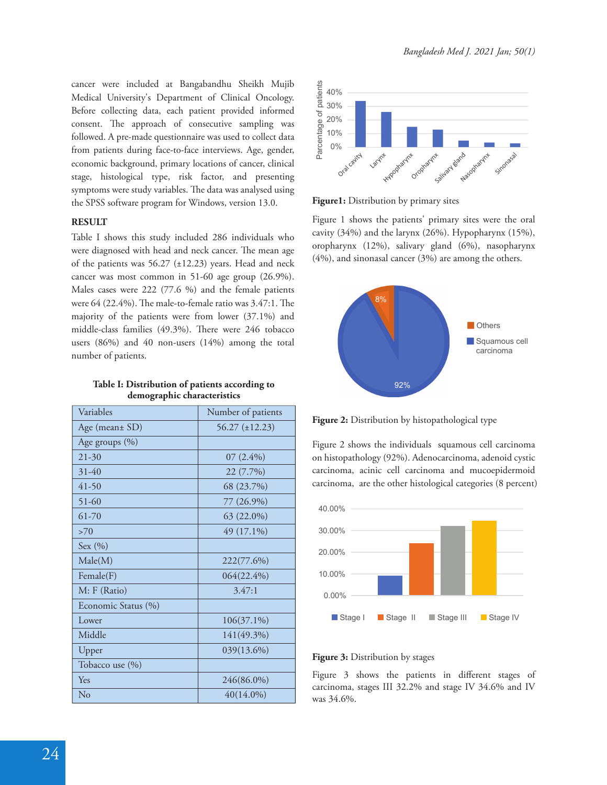cancer were included at Bangabandhu Sheikh Mujib Medical University's Department of Clinical Oncology. Before collecting data, each patient provided informed consent. The approach of consecutive sampling was followed. A pre-made questionnaire was used to collect data from patients during face-to-face interviews. Age, gender, economic background, primary locations of cancer, clinical stage, histological type, risk factor, and presenting symptoms were study variables. The data was analysed using the SPSS software program for Windows, version 13.0.

#### **RESULT**

Table I shows this study included 286 individuals who were diagnosed with head and neck cancer. The mean age of the patients was  $56.27$  ( $\pm$ 12.23) years. Head and neck cancer was most common in 51-60 age group (26.9%). Males cases were 222 (77.6 %) and the female patients were  $64$  (22.4%). The male-to-female ratio was  $3.47:1$ . The majority of the patients were from lower (37.1%) and middle-class families (49.3%). There were 246 tobacco users (86%) and 40 non-users (14%) among the total number of patients.

| Table I: Distribution of patients according to |  |  |
|------------------------------------------------|--|--|
| demographic characteristics                    |  |  |

| Variables           | Number of patients  |
|---------------------|---------------------|
| Age (mean± SD)      | $56.27 (\pm 12.23)$ |
| Age groups (%)      |                     |
| $21 - 30$           | $07(2.4\%)$         |
| $31-40$             | 22 (7.7%)           |
| $41-50$             | 68 (23.7%)          |
| $51 - 60$           | 77 (26.9%)          |
| 61-70               | 63 (22.0%)          |
| >70                 | 49 (17.1%)          |
| Sex $(\% )$         |                     |
| Male(M)             | 222(77.6%)          |
| Female(F)           | 064(22.4%)          |
| M: F (Ratio)        | 3.47:1              |
| Economic Status (%) |                     |
| Lower               | $106(37.1\%)$       |
| Middle              | 141(49.3%)          |
| Upper               | 039(13.6%)          |
| Tobacco use (%)     |                     |
| Yes                 | 246(86.0%)          |
| No                  | $40(14.0\%)$        |



**Figure1:** Distribution by primary sites

Figure 1 shows the patients' primary sites were the oral cavity (34%) and the larynx (26%). Hypopharynx (15%), oropharynx (12%), salivary gland (6%), nasopharynx (4%), and sinonasal cancer (3%) are among the others.



**Figure 2:** Distribution by histopathological type

Figure 2 shows the individuals squamous cell carcinoma on histopathology (92%). Adenocarcinoma, adenoid cystic carcinoma, acinic cell carcinoma and mucoepidermoid carcinoma, are the other histological categories (8 percent)



#### **Figure 3:** Distribution by stages

Figure 3 shows the patients in different stages of carcinoma, stages III 32.2% and stage IV 34.6% and IV was 34.6%.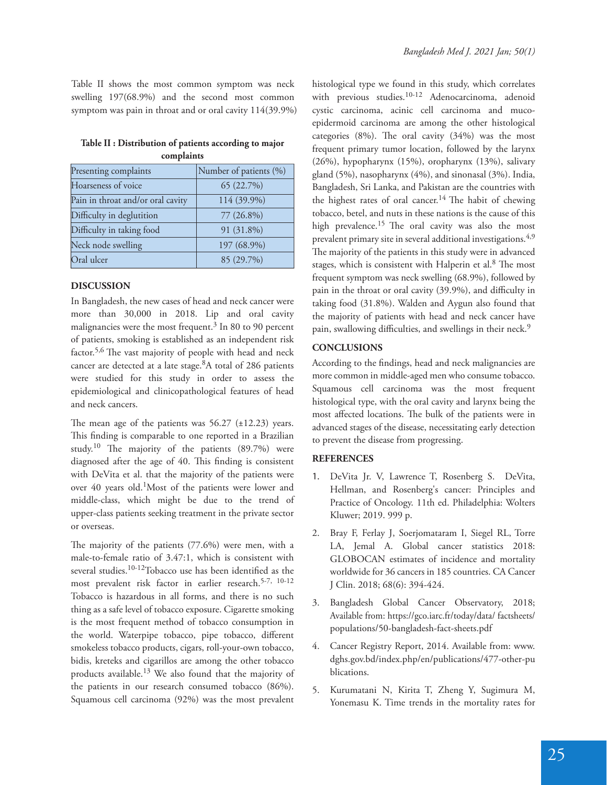Table II shows the most common symptom was neck swelling 197(68.9%) and the second most common symptom was pain in throat and or oral cavity 114(39.9%)

| Table II : Distribution of patients according to major |
|--------------------------------------------------------|
| complaints                                             |

| Presenting complaints             | Number of patients (%) |
|-----------------------------------|------------------------|
| Hoarseness of voice               | 65 (22.7%)             |
| Pain in throat and/or oral cavity | 114 (39.9%)            |
| Difficulty in deglutition         | 77 (26.8%)             |
| Difficulty in taking food         | 91 (31.8%)             |
| Neck node swelling                | 197 (68.9%)            |
| Oral ulcer                        | 85 (29.7%)             |

# **DISCUSSION**

In Bangladesh, the new cases of head and neck cancer were more than 30,000 in 2018. Lip and oral cavity malignancies were the most frequent.<sup>3</sup> In 80 to 90 percent of patients, smoking is established as an independent risk factor.<sup>5,6</sup> The vast majority of people with head and neck cancer are detected at a late stage.<sup>8</sup>A total of 286 patients were studied for this study in order to assess the epidemiological and clinicopathological features of head and neck cancers.

The mean age of the patients was  $56.27$  ( $\pm$ 12.23) years. This finding is comparable to one reported in a Brazilian study.<sup>10</sup> The majority of the patients  $(89.7%)$  were diagnosed after the age of 40. This finding is consistent with DeVita et al. that the majority of the patients were over 40 years old.<sup>1</sup>Most of the patients were lower and middle-class, which might be due to the trend of upper-class patients seeking treatment in the private sector or overseas.

The majority of the patients  $(77.6%)$  were men, with a male-to-female ratio of 3.47:1, which is consistent with several studies.<sup>10-12</sup>Tobacco use has been identified as the most prevalent risk factor in earlier research.<sup>5-7, 10-12</sup> Tobacco is hazardous in all forms, and there is no such thing as a safe level of tobacco exposure. Cigarette smoking is the most frequent method of tobacco consumption in the world. Waterpipe tobacco, pipe tobacco, different smokeless tobacco products, cigars, roll-your-own tobacco, bidis, kreteks and cigarillos are among the other tobacco products available.13 We also found that the majority of the patients in our research consumed tobacco (86%). Squamous cell carcinoma (92%) was the most prevalent histological type we found in this study, which correlates with previous studies.<sup>10-12</sup> Adenocarcinoma, adenoid cystic carcinoma, acinic cell carcinoma and mucoepidermoid carcinoma are among the other histological categories  $(8\%)$ . The oral cavity  $(34\%)$  was the most frequent primary tumor location, followed by the larynx (26%), hypopharynx (15%), oropharynx (13%), salivary gland (5%), nasopharynx (4%), and sinonasal (3%). India, Bangladesh, Sri Lanka, and Pakistan are the countries with the highest rates of oral cancer.<sup>14</sup> The habit of chewing tobacco, betel, and nuts in these nations is the cause of this high prevalence.<sup>15</sup> The oral cavity was also the most prevalent primary site in several additional investigations.<sup>4,9</sup> The majority of the patients in this study were in advanced stages, which is consistent with Halperin et al.<sup>8</sup> The most frequent symptom was neck swelling (68.9%), followed by pain in the throat or oral cavity (39.9%), and difficulty in taking food (31.8%). Walden and Aygun also found that the majority of patients with head and neck cancer have pain, swallowing difficulties, and swellings in their neck.<sup>9</sup>

# **CONCLUSIONS**

According to the findings, head and neck malignancies are more common in middle-aged men who consume tobacco. Squamous cell carcinoma was the most frequent histological type, with the oral cavity and larynx being the most affected locations. The bulk of the patients were in advanced stages of the disease, necessitating early detection to prevent the disease from progressing.

# **REFERENCES**

- 1. DeVita Jr. V, Lawrence T, Rosenberg S. DeVita, Hellman, and Rosenberg's cancer: Principles and Practice of Oncology. 11th ed. Philadelphia: Wolters Kluwer; 2019. 999 p.
- 2. Bray F, Ferlay J, Soerjomataram I, Siegel RL, Torre LA, Jemal A. Global cancer statistics 2018: GLOBOCAN estimates of incidence and mortality worldwide for 36 cancers in 185 countries. CA Cancer J Clin. 2018; 68(6): 394-424.
- 3. Bangladesh Global Cancer Observatory, 2018; Available from: https://gco.iarc.fr/today/data/ factsheets/ populations/50-bangladesh-fact-sheets.pdf
- 4. Cancer Registry Report, 2014. Available from: www. dghs.gov.bd/index.php/en/publications/477-other-pu blications.
- 5. Kurumatani N, Kirita T, Zheng Y, Sugimura M, Yonemasu K. Time trends in the mortality rates for